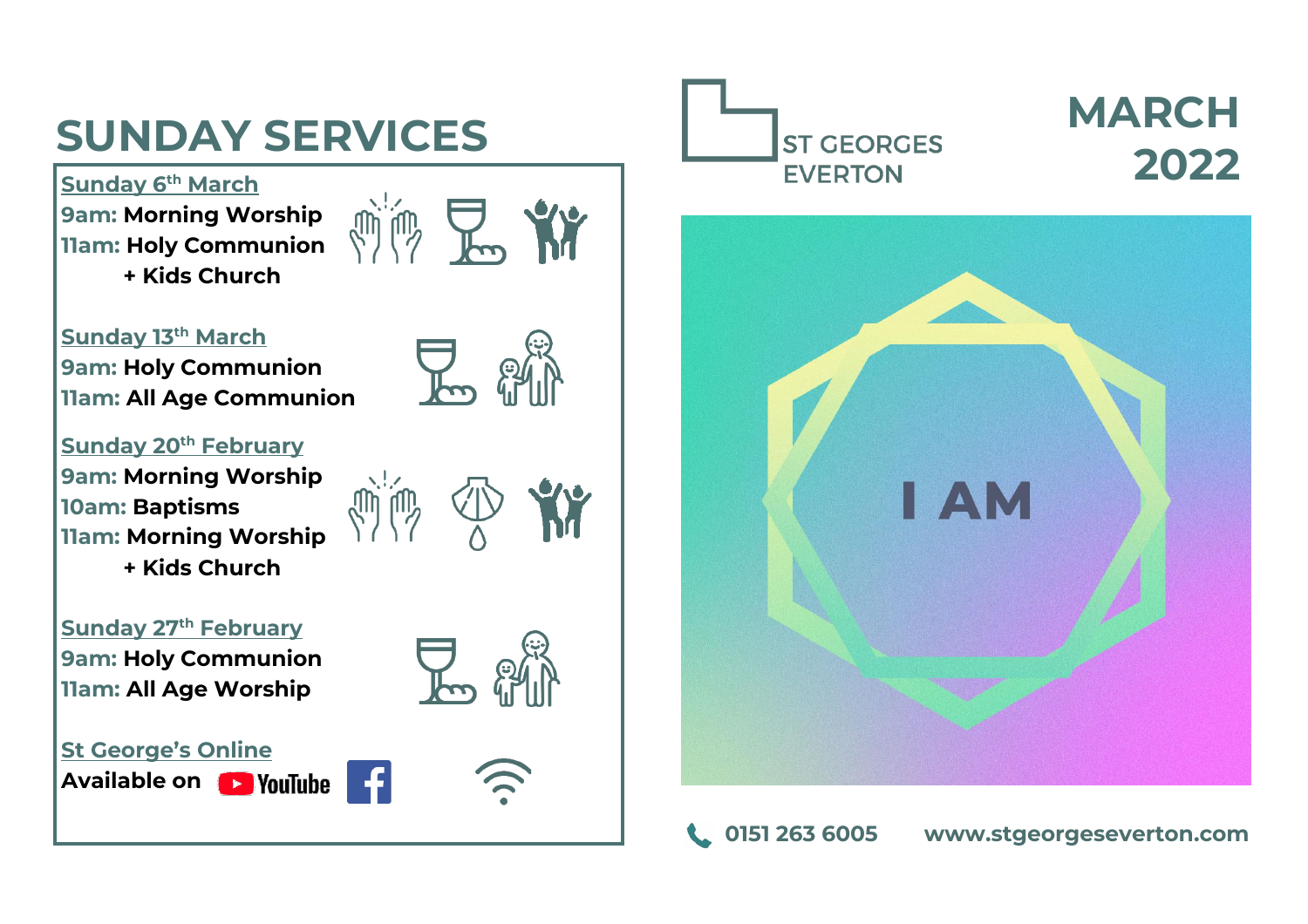## **SUNDAY SERVICES**

**Sunday 6 th March 9am: Morning Worship 11am: Holy Communion + Kids Church**



 $\nabla$ 

 $\sum_{\alpha}$ 

**July 100** 

**Sunday 13th March 9am: Holy Communion 11am: All Age Communion**

**Sunday 20th February 9am: Morning Worship 10am: Baptisms 11am: Morning Worship + Kids Church**

**Sunday 27th February 9am: Holy Communion 11am: All Age Worship**



**Available on** 





## **MARCH 2022**